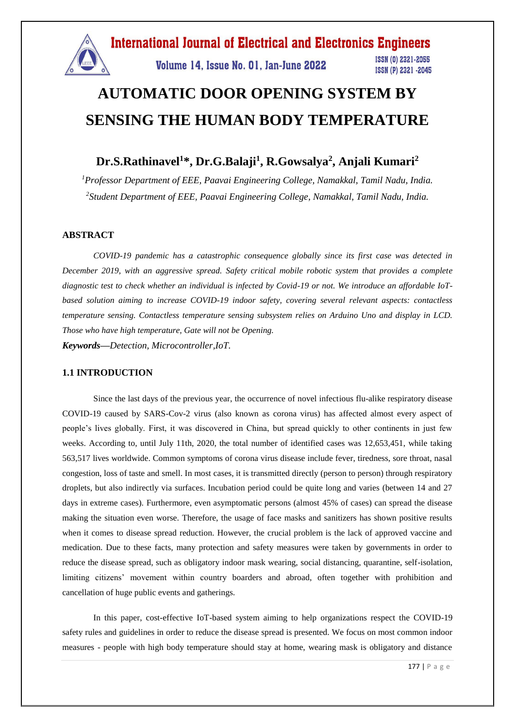

# **AUTOMATIC DOOR OPENING SYSTEM BY SENSING THE HUMAN BODY TEMPERATURE**

### **Dr.S.Rathinavel<sup>1</sup>\*, Dr.G.Balaji<sup>1</sup> , R.Gowsalya<sup>2</sup> , Anjali Kumari<sup>2</sup>**

*<sup>1</sup>Professor Department of EEE, Paavai Engineering College, Namakkal, Tamil Nadu, India. 2 Student Department of EEE, Paavai Engineering College, Namakkal, Tamil Nadu, India.*

#### **ABSTRACT**

*COVID-19 pandemic has a catastrophic consequence globally since its first case was detected in December 2019, with an aggressive spread. Safety critical mobile robotic system that provides a complete diagnostic test to check whether an individual is infected by Covid-19 or not. We introduce an affordable IoTbased solution aiming to increase COVID-19 indoor safety, covering several relevant aspects: contactless temperature sensing. Contactless temperature sensing subsystem relies on Arduino Uno and display in LCD. Those who have high temperature, Gate will not be Opening. Keywords—Detection, Microcontroller,IoT.*

#### **1.1 INTRODUCTION**

Since the last days of the previous year, the occurrence of novel infectious flu-alike respiratory disease COVID-19 caused by SARS-Cov-2 virus (also known as corona virus) has affected almost every aspect of people's lives globally. First, it was discovered in China, but spread quickly to other continents in just few weeks. According to, until July 11th, 2020, the total number of identified cases was 12,653,451, while taking 563,517 lives worldwide. Common symptoms of corona virus disease include fever, tiredness, sore throat, nasal congestion, loss of taste and smell. In most cases, it is transmitted directly (person to person) through respiratory droplets, but also indirectly via surfaces. Incubation period could be quite long and varies (between 14 and 27 days in extreme cases). Furthermore, even asymptomatic persons (almost 45% of cases) can spread the disease making the situation even worse. Therefore, the usage of face masks and sanitizers has shown positive results when it comes to disease spread reduction. However, the crucial problem is the lack of approved vaccine and medication. Due to these facts, many protection and safety measures were taken by governments in order to reduce the disease spread, such as obligatory indoor mask wearing, social distancing, quarantine, self-isolation, limiting citizens' movement within country boarders and abroad, often together with prohibition and cancellation of huge public events and gatherings.

In this paper, cost-effective IoT-based system aiming to help organizations respect the COVID-19 safety rules and guidelines in order to reduce the disease spread is presented. We focus on most common indoor measures - people with high body temperature should stay at home, wearing mask is obligatory and distance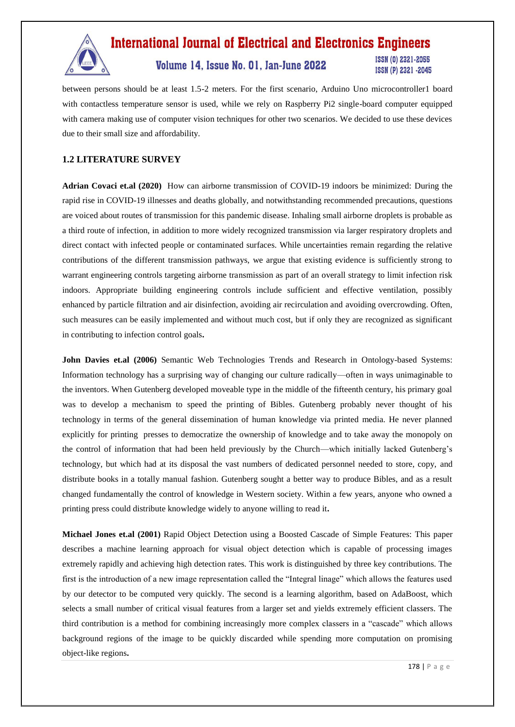

### Volume 14, Issue No. 01, Jan-June 2022

**ISSN (0) 2321-2055** ISSN (P) 2321 -2045

between persons should be at least 1.5-2 meters. For the first scenario, Arduino Uno microcontroller1 board with contactless temperature sensor is used, while we rely on Raspberry Pi2 single-board computer equipped with camera making use of computer vision techniques for other two scenarios. We decided to use these devices due to their small size and affordability.

#### **1.2 LITERATURE SURVEY**

**Adrian Covaci et.al (2020)** How can airborne transmission of COVID-19 indoors be minimized: During the rapid rise in COVID-19 illnesses and deaths globally, and notwithstanding recommended precautions, questions are voiced about routes of transmission for this pandemic disease. Inhaling small airborne droplets is probable as a third route of infection, in addition to more widely recognized transmission via larger respiratory droplets and direct contact with infected people or contaminated surfaces. While uncertainties remain regarding the relative contributions of the different transmission pathways, we argue that existing evidence is sufficiently strong to warrant engineering controls targeting airborne transmission as part of an overall strategy to limit infection risk indoors. Appropriate building engineering controls include sufficient and effective ventilation, possibly enhanced by particle filtration and air disinfection, avoiding air recirculation and avoiding overcrowding. Often, such measures can be easily implemented and without much cost, but if only they are recognized as significant in contributing to infection control goals**.**

**John Davies et.al (2006)** Semantic Web Technologies Trends and Research in Ontology-based Systems: Information technology has a surprising way of changing our culture radically—often in ways unimaginable to the inventors. When Gutenberg developed moveable type in the middle of the fifteenth century, his primary goal was to develop a mechanism to speed the printing of Bibles. Gutenberg probably never thought of his technology in terms of the general dissemination of human knowledge via printed media. He never planned explicitly for printing presses to democratize the ownership of knowledge and to take away the monopoly on the control of information that had been held previously by the Church—which initially lacked Gutenberg's technology, but which had at its disposal the vast numbers of dedicated personnel needed to store, copy, and distribute books in a totally manual fashion. Gutenberg sought a better way to produce Bibles, and as a result changed fundamentally the control of knowledge in Western society. Within a few years, anyone who owned a printing press could distribute knowledge widely to anyone willing to read it**.**

**Michael Jones et.al (2001)** Rapid Object Detection using a Boosted Cascade of Simple Features: This paper describes a machine learning approach for visual object detection which is capable of processing images extremely rapidly and achieving high detection rates. This work is distinguished by three key contributions. The first is the introduction of a new image representation called the "Integral linage" which allows the features used by our detector to be computed very quickly. The second is a learning algorithm, based on AdaBoost, which selects a small number of critical visual features from a larger set and yields extremely efficient classers. The third contribution is a method for combining increasingly more complex classers in a "cascade" which allows background regions of the image to be quickly discarded while spending more computation on promising object-like regions**.**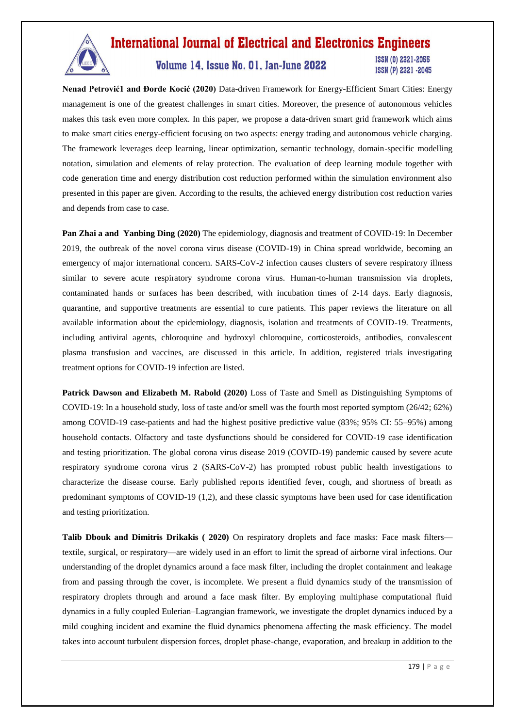

### Volume 14, Issue No. 01, Jan-June 2022

**ISSN (0) 2321-2055** ISSN (P) 2321 -2045

**Nenad Petrović1 and Đorđe Kocić (2020)** Data-driven Framework for Energy-Efficient Smart Cities: Energy management is one of the greatest challenges in smart cities. Moreover, the presence of autonomous vehicles makes this task even more complex. In this paper, we propose a data-driven smart grid framework which aims to make smart cities energy-efficient focusing on two aspects: energy trading and autonomous vehicle charging. The framework leverages deep learning, linear optimization, semantic technology, domain-specific modelling notation, simulation and elements of relay protection. The evaluation of deep learning module together with code generation time and energy distribution cost reduction performed within the simulation environment also presented in this paper are given. According to the results, the achieved energy distribution cost reduction varies and depends from case to case.

**Pan Zhai a and Yanbing Ding (2020)** The epidemiology, diagnosis and treatment of COVID-19: In December 2019, the outbreak of the novel corona virus disease (COVID-19) in China spread worldwide, becoming an emergency of major international concern. SARS-CoV-2 infection causes clusters of severe respiratory illness similar to severe acute respiratory syndrome corona virus. Human-to-human transmission via droplets, contaminated hands or surfaces has been described, with incubation times of 2-14 days. Early diagnosis, quarantine, and supportive treatments are essential to cure patients. This paper reviews the literature on all available information about the epidemiology, diagnosis, isolation and treatments of COVID-19. Treatments, including antiviral agents, chloroquine and hydroxyl chloroquine, corticosteroids, antibodies, convalescent plasma transfusion and vaccines, are discussed in this article. In addition, registered trials investigating treatment options for COVID-19 infection are listed.

**Patrick Dawson and Elizabeth M. Rabold (2020)** Loss of Taste and Smell as Distinguishing Symptoms of COVID-19: In a household study, loss of taste and/or smell was the fourth most reported symptom (26/42; 62%) among COVID-19 case-patients and had the highest positive predictive value (83%; 95% CI: 55–95%) among household contacts. Olfactory and taste dysfunctions should be considered for COVID-19 case identification and testing prioritization. The global corona virus disease 2019 (COVID-19) pandemic caused by severe acute respiratory syndrome corona virus 2 (SARS-CoV-2) has prompted robust public health investigations to characterize the disease course. Early published reports identified fever, cough, and shortness of breath as predominant symptoms of COVID-19 (1,2), and these classic symptoms have been used for case identification and testing prioritization.

Talib Dbouk and Dimitris Drikakis ( 2020) On respiratory droplets and face masks: Face mask filters textile, surgical, or respiratory—are widely used in an effort to limit the spread of airborne viral infections. Our understanding of the droplet dynamics around a face mask filter, including the droplet containment and leakage from and passing through the cover, is incomplete. We present a fluid dynamics study of the transmission of respiratory droplets through and around a face mask filter. By employing multiphase computational fluid dynamics in a fully coupled Eulerian–Lagrangian framework, we investigate the droplet dynamics induced by a mild coughing incident and examine the fluid dynamics phenomena affecting the mask efficiency. The model takes into account turbulent dispersion forces, droplet phase-change, evaporation, and breakup in addition to the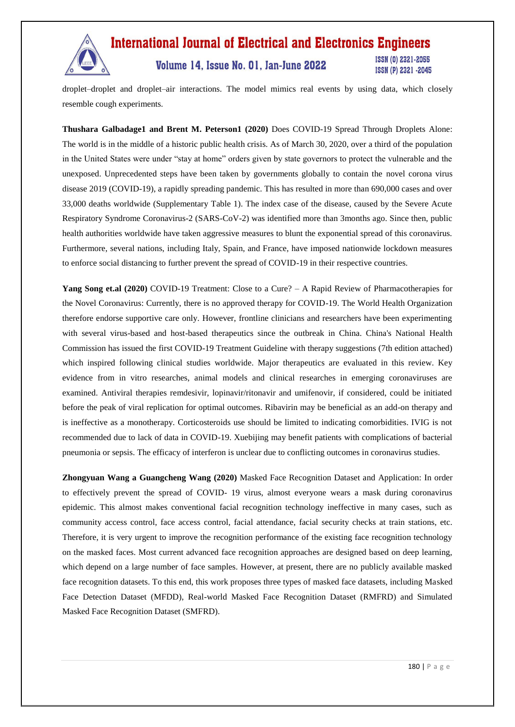

### Volume 14, Issue No. 01, Jan-June 2022

**ISSN (0) 2321-2055** ISSN (P) 2321 -2045

droplet–droplet and droplet–air interactions. The model mimics real events by using data, which closely resemble cough experiments.

**Thushara Galbadage1 and Brent M. Peterson1 (2020)** Does COVID-19 Spread Through Droplets Alone: The world is in the middle of a historic public health crisis. As of March 30, 2020, over a third of the population in the United States were under "stay at home" orders given by state governors to protect the vulnerable and the unexposed. Unprecedented steps have been taken by governments globally to contain the novel corona virus disease 2019 (COVID-19), a rapidly spreading pandemic. This has resulted in more than 690,000 cases and over 33,000 deaths worldwide (Supplementary Table 1). The index case of the disease, caused by the Severe Acute Respiratory Syndrome Coronavirus-2 (SARS-CoV-2) was identified more than 3months ago. Since then, public health authorities worldwide have taken aggressive measures to blunt the exponential spread of this coronavirus. Furthermore, several nations, including Italy, Spain, and France, have imposed nationwide lockdown measures to enforce social distancing to further prevent the spread of COVID-19 in their respective countries.

**Yang Song et.al (2020)** COVID-19 Treatment: Close to a Cure? – A Rapid Review of Pharmacotherapies for the Novel Coronavirus: Currently, there is no approved therapy for COVID-19. The World Health Organization therefore endorse supportive care only. However, frontline clinicians and researchers have been experimenting with several virus-based and host-based therapeutics since the outbreak in China. China's National Health Commission has issued the first COVID-19 Treatment Guideline with therapy suggestions (7th edition attached) which inspired following clinical studies worldwide. Major therapeutics are evaluated in this review. Key evidence from in vitro researches, animal models and clinical researches in emerging coronaviruses are examined. Antiviral therapies remdesivir, lopinavir/ritonavir and umifenovir, if considered, could be initiated before the peak of viral replication for optimal outcomes. Ribavirin may be beneficial as an add-on therapy and is ineffective as a monotherapy. Corticosteroids use should be limited to indicating comorbidities. IVIG is not recommended due to lack of data in COVID-19. Xuebijing may benefit patients with complications of bacterial pneumonia or sepsis. The efficacy of interferon is unclear due to conflicting outcomes in coronavirus studies.

**Zhongyuan Wang a Guangcheng Wang (2020)** Masked Face Recognition Dataset and Application: In order to effectively prevent the spread of COVID- 19 virus, almost everyone wears a mask during coronavirus epidemic. This almost makes conventional facial recognition technology ineffective in many cases, such as community access control, face access control, facial attendance, facial security checks at train stations, etc. Therefore, it is very urgent to improve the recognition performance of the existing face recognition technology on the masked faces. Most current advanced face recognition approaches are designed based on deep learning, which depend on a large number of face samples. However, at present, there are no publicly available masked face recognition datasets. To this end, this work proposes three types of masked face datasets, including Masked Face Detection Dataset (MFDD), Real-world Masked Face Recognition Dataset (RMFRD) and Simulated Masked Face Recognition Dataset (SMFRD).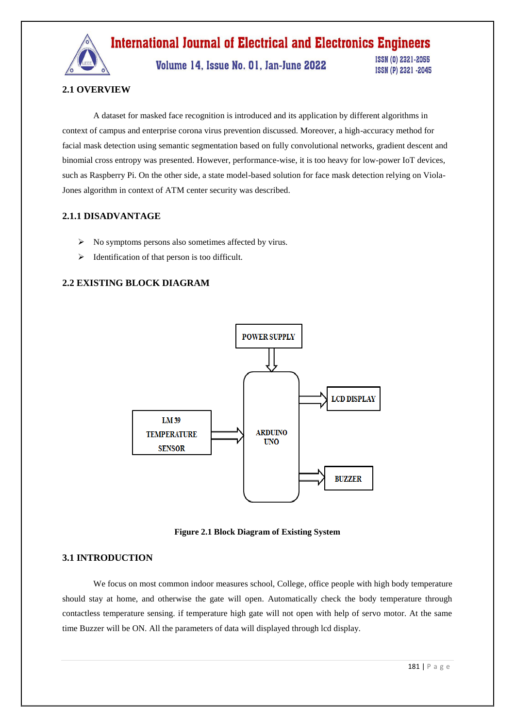

Volume 14. Issue No. 01. Jan-June 2022

**ISSN (0) 2321-2055** ISSN (P) 2321 -2045

### **2.1 OVERVIEW**

A dataset for masked face recognition is introduced and its application by different algorithms in context of campus and enterprise corona virus prevention discussed. Moreover, a high-accuracy method for facial mask detection using semantic segmentation based on fully convolutional networks, gradient descent and binomial cross entropy was presented. However, performance-wise, it is too heavy for low-power IoT devices, such as Raspberry Pi. On the other side, a state model-based solution for face mask detection relying on Viola-Jones algorithm in context of ATM center security was described.

#### **2.1.1 DISADVANTAGE**

- $\triangleright$  No symptoms persons also sometimes affected by virus.
- $\triangleright$  Identification of that person is too difficult.

### **2.2 EXISTING BLOCK DIAGRAM**





#### **3.1 INTRODUCTION**

We focus on most common indoor measures school, College, office people with high body temperature should stay at home, and otherwise the gate will open. Automatically check the body temperature through contactless temperature sensing. if temperature high gate will not open with help of servo motor. At the same time Buzzer will be ON. All the parameters of data will displayed through lcd display.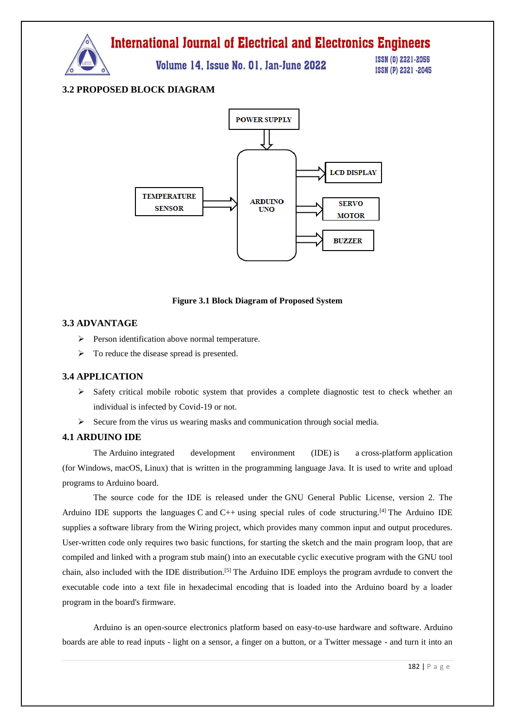

#### **3.2 PROPOSED BLOCK DIAGRAM**



#### **Figure 3.1 Block Diagram of Proposed System**

#### **3.3 ADVANTAGE**

- $\triangleright$  Person identification above normal temperature.
- $\triangleright$  To reduce the disease spread is presented.

#### **3.4 APPLICATION**

- $\triangleright$  Safety critical mobile robotic system that provides a complete diagnostic test to check whether an individual is infected by Covid-19 or not.
- $\triangleright$  Secure from the virus us wearing masks and communication through social media.

#### **4.1 [ARDUINO](https://en.wikipedia.org/wiki/Arduino) IDE**

The [Arduino](https://en.wikipedia.org/wiki/Arduino) integrated development environment [\(IDE\)](https://en.wikipedia.org/wiki/Integrated_development_environment) is a [cross-platform](https://en.wikipedia.org/wiki/Cross-platform) application (for [Windows,](https://en.wikipedia.org/wiki/Windows) [macOS,](https://en.wikipedia.org/wiki/MacOS) [Linux\)](https://en.wikipedia.org/wiki/Linux) that is written in the programming language [Java.](https://en.wikipedia.org/wiki/Java_(programming_language)) It is used to write and upload programs to Arduino board.

The source code for the IDE is released under the [GNU General Public License,](https://en.wikipedia.org/wiki/GNU_General_Public_License) version 2. The Arduino IDE supports the languages [C](https://en.wikipedia.org/wiki/C_(programming_language)) and [C++](https://en.wikipedia.org/wiki/C%2B%2B) using special rules of code structuring.<sup>[\[4\]](https://en.wikipedia.org/wiki/Arduino_IDE#cite_note-4)</sup> The Arduino IDE supplies a [software library](https://en.wikipedia.org/wiki/Software_library) from the [Wiring](https://en.wikipedia.org/wiki/Wiring_(development_platform)) project, which provides many common input and output procedures. User-written code only requires two basic functions, for starting the sketch and the main program loop, that are compiled and linked with a program stub main() into an executable [cyclic executive](https://en.wikipedia.org/wiki/Cyclic_executive) program with the [GNU tool](https://en.wikipedia.org/wiki/GNU_toolchain)  [chain,](https://en.wikipedia.org/wiki/GNU_toolchain) also included with the IDE distribution.[\[5\]](https://en.wikipedia.org/wiki/Arduino_IDE#cite_note-5) The Arduino IDE employs the program avrdude to convert the executable code into a text file in hexadecimal encoding that is loaded into the Arduino board by a loader program in the board's firmware.

Arduino is an open-source electronics platform based on easy-to-use hardware and software. [Arduino](https://www.arduino.cc/en/Main/Products)  [boards](https://www.arduino.cc/en/Main/Products) are able to read inputs - light on a sensor, a finger on a button, or a Twitter message - and turn it into an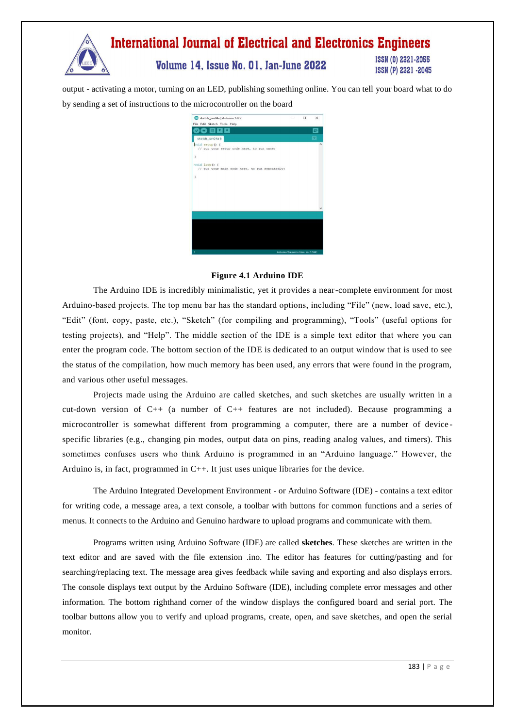

### Volume 14, Issue No. 01, Jan-June 2022

**ISSN (0) 2321-2055** ISSN (P) 2321 -2045

output - activating a motor, turning on an LED, publishing something online. You can tell your board what to do by sending a set of instructions to the microcontroller on the board

| sketch_jan04a   Arduino 1.8.5<br>File Edit Sketch Tools Help    | п | $\times$ |
|-----------------------------------------------------------------|---|----------|
| о пов                                                           |   | lo.      |
| sketch_jan04a §                                                 |   |          |
| void setup() {<br>// put your setup code here, to run once:     |   |          |
| $\mathbf{1}$                                                    |   |          |
| void loop() {<br>// put your main code here, to run repeatedly: |   |          |
| $\mathcal{F}$                                                   |   |          |
|                                                                 |   |          |
|                                                                 |   |          |
|                                                                 |   |          |
|                                                                 |   |          |

#### **Figure 4.1 Arduino IDE**

The Arduino IDE is incredibly minimalistic, yet it provides a near-complete environment for most Arduino-based projects. The top menu bar has the standard options, including "File" (new, load save, etc.), "Edit" (font, copy, paste, etc.), "Sketch" (for compiling and programming), "Tools" (useful options for testing projects), and "Help". The middle section of the IDE is a simple text editor that where you can enter the program code. The bottom section of the IDE is dedicated to an output window that is used to see the status of the compilation, how much memory has been used, any errors that were found in the program, and various other useful messages.

Projects made using the Arduino are called sketches, and such sketches are usually written in a cut-down version of C++ (a number of C++ features are not included). Because programming a microcontroller is somewhat different from programming a computer, there are a number of device specific libraries (e.g., changing pin modes, output data on pins, reading analog values, and timers). This sometimes confuses users who think Arduino is programmed in an "Arduino language." However, the Arduino is, in fact, programmed in C++. It just uses unique libraries for the device.

The Arduino Integrated Development Environment - or Arduino Software (IDE) - contains a text editor for writing code, a message area, a text console, a toolbar with buttons for common functions and a series of menus. It connects to the Arduino and Genuino hardware to upload programs and communicate with them.

Programs written using Arduino Software (IDE) are called **sketches**. These sketches are written in the text editor and are saved with the file extension .ino. The editor has features for cutting/pasting and for searching/replacing text. The message area gives feedback while saving and exporting and also displays errors. The console displays text output by the Arduino Software (IDE), including complete error messages and other information. The bottom righthand corner of the window displays the configured board and serial port. The toolbar buttons allow you to verify and upload programs, create, open, and save sketches, and open the serial monitor.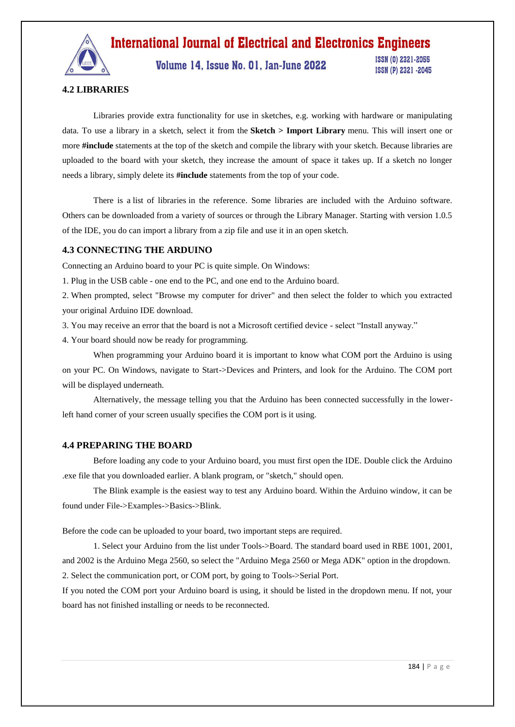

Volume 14, Issue No. 01, Jan-June 2022

**ISSN (0) 2321-2055** ISSN (P) 2321 -2045

#### **4.2 LIBRARIES**

Libraries provide extra functionality for use in sketches, e.g. working with hardware or manipulating data. To use a library in a sketch, select it from the **Sketch > Import Library** menu. This will insert one or more **#include** statements at the top of the sketch and compile the library with your sketch. Because libraries are uploaded to the board with your sketch, they increase the amount of space it takes up. If a sketch no longer needs a library, simply delete its **#include** statements from the top of your code.

There is a [list of libraries](https://www.arduino.cc/en/Reference/Libraries) in the reference. Some libraries are included with the Arduino software. Others can be downloaded from a variety of sources or through the Library Manager. Starting with version 1.0.5 of the IDE, you do can import a library from a zip file and use it in an open sketch.

#### **4.3 CONNECTING THE ARDUINO**

Connecting an Arduino board to your PC is quite simple. On Windows:

1. Plug in the USB cable - one end to the PC, and one end to the Arduino board.

2. When prompted, select "Browse my computer for driver" and then select the folder to which you extracted your original Arduino IDE download.

3. You may receive an error that the board is not a Microsoft certified device - select "Install anyway."

4. Your board should now be ready for programming.

When programming your Arduino board it is important to know what COM port the Arduino is using on your PC. On Windows, navigate to Start->Devices and Printers, and look for the Arduino. The COM port will be displayed underneath.

Alternatively, the message telling you that the Arduino has been connected successfully in the lowerleft hand corner of your screen usually specifies the COM port is it using.

#### **4.4 PREPARING THE BOARD**

Before loading any code to your Arduino board, you must first open the IDE. Double click the Arduino .exe file that you downloaded earlier. A blank program, or "sketch," should open.

The Blink example is the easiest way to test any Arduino board. Within the Arduino window, it can be found under File->Examples->Basics->Blink.

Before the code can be uploaded to your board, two important steps are required.

1. Select your Arduino from the list under Tools->Board. The standard board used in RBE 1001, 2001, and 2002 is the Arduino Mega 2560, so select the "Arduino Mega 2560 or Mega ADK" option in the dropdown. 2. Select the communication port, or COM port, by going to Tools->Serial Port.

If you noted the COM port your Arduino board is using, it should be listed in the dropdown menu. If not, your board has not finished installing or needs to be reconnected.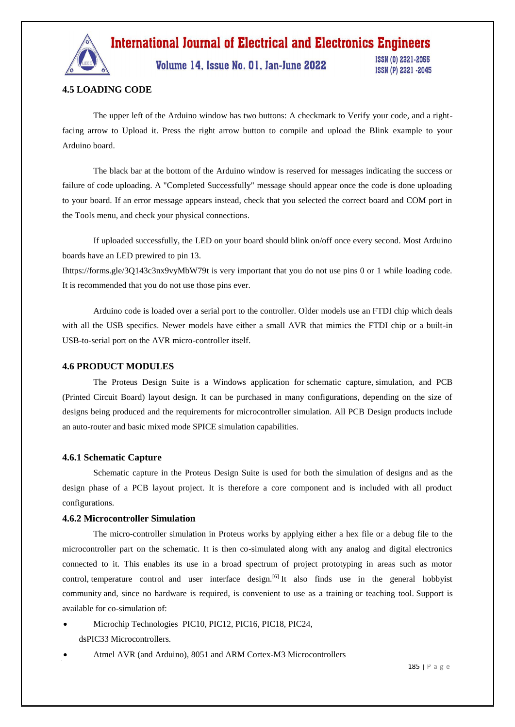

Volume 14, Issue No. 01, Jan-June 2022

**ISSN (0) 2321-2055** ISSN (P) 2321 -2045

#### **4.5 LOADING CODE**

The upper left of the Arduino window has two buttons: A checkmark to Verify your code, and a rightfacing arrow to Upload it. Press the right arrow button to compile and upload the Blink example to your Arduino board.

The black bar at the bottom of the Arduino window is reserved for messages indicating the success or failure of code uploading. A "Completed Successfully" message should appear once the code is done uploading to your board. If an error message appears instead, check that you selected the correct board and COM port in the Tools menu, and check your physical connections.

If uploaded successfully, the LED on your board should blink on/off once every second. Most Arduino boards have an LED prewired to pin 13.

Ihttps://forms.gle/3Q143c3nx9vyMbW79t is very important that you do not use pins 0 or 1 while loading code. It is recommended that you do not use those pins ever.

Arduino code is loaded over a serial port to the controller. Older models use an [FTDI](http://www.ftdichip.com/) chip which deals with all the USB specifics. Newer models have either a small AVR that mimics the FTDI chip or a built-in USB-to-serial port on the AVR micro-controller itself.

#### **4.6 PRODUCT MODULES**

The Proteus Design Suite is a Windows application for [schematic capture,](https://en.wikipedia.org/wiki/Schematic_capture) [simulation,](https://en.wikipedia.org/wiki/Computer_simulation) and PCB [\(Printed Circuit Board\)](https://en.wikipedia.org/wiki/Printed_Circuit_Board) layout design. It can be purchased in many configurations, depending on the size of designs being produced and the requirements for microcontroller simulation. All PCB Design products include an auto-router and basic mixed mode SPICE simulation capabilities.

#### **4.6.1 Schematic Capture**

Schematic capture in the Proteus Design Suite is used for both the simulation of designs and as the design phase of a PCB layout project. It is therefore a core component and is included with all product configurations.

#### **4.6.2 Microcontroller Simulation**

The micro-controller simulation in Proteus works by applying either a hex file or a debug file to the microcontroller part on the schematic. It is then co-simulated along with any analog and digital electronics connected to it. This enables its use in a broad spectrum of project prototyping in areas such as motor control, temperature control and user interface design.<sup>[\[6\]](https://en.wikipedia.org/wiki/Proteus_Design_Suite#cite_note-uidesign-6)</sup> It also finds use in the general hobbyist community and, since no hardware is required, is convenient to use as a training or teaching tool. Support is available for co-simulation of:

- [Microchip Technologies](https://en.wikipedia.org/wiki/Microchip_Technology) PIC10, PIC12, PIC16, PIC18, PIC24, dsPIC33 Microcontrollers.
- [Atmel](https://en.wikipedia.org/wiki/Atmel) AVR (and [Arduino\)](https://en.wikipedia.org/wiki/Arduino), 8051 and [ARM Cortex-M3](https://en.wikipedia.org/wiki/ARM_Cortex-M#Cortex-M3) Microcontrollers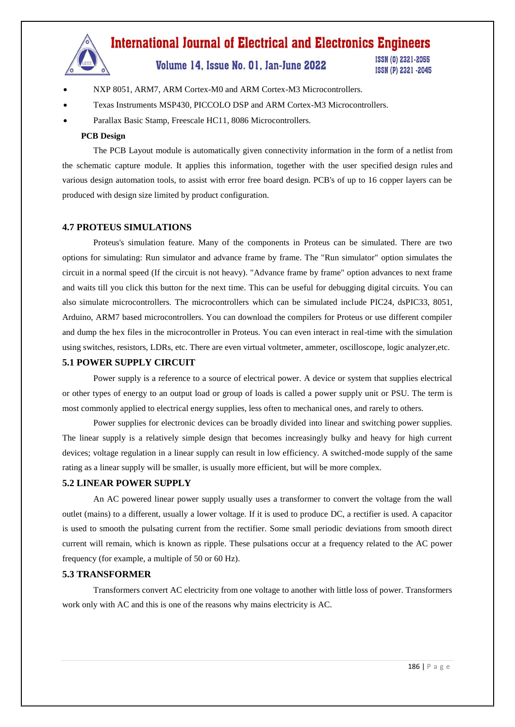

Volume 14, Issue No. 01, Jan-June 2022

**ISSN (0) 2321-2055** ISSN (P) 2321 -2045

- [NXP](https://en.wikipedia.org/wiki/NXP_Semiconductors) 8051, ARM7, [ARM Cortex-M0](https://en.wikipedia.org/wiki/ARM_Cortex-M#Cortex-M0) and ARM Cortex-M3 Microcontrollers.
- [Texas Instruments](https://en.wikipedia.org/wiki/Texas_Instruments) MSP430, PICCOLO DSP and ARM Cortex-M3 Microcontrollers.
- Parallax Basic Stamp, Freescale HC11, 8086 Microcontrollers.

#### **PCB Design**

The PCB Layout module is automatically given connectivity information in the form of a [netlist](https://en.wikipedia.org/wiki/Netlist) from the schematic capture module. It applies this information, together with the user specified [design rules](https://en.wikipedia.org/wiki/Design_rule_checking) and various design automation tools, to assist with error free board design. PCB's of up to 16 copper layers can be produced with design size limited by product configuration.

#### **4.7 PROTEUS SIMULATIONS**

Proteus's simulation feature. Many of the components in Proteus can be simulated. There are two options for simulating: Run simulator and advance frame by frame. The "Run simulator" option simulates the circuit in a normal speed (If the circuit is not heavy). "Advance frame by frame" option advances to next frame and waits till you click this button for the next time. This can be useful for debugging digital circuits. You can also simulate microcontrollers. The microcontrollers which can be simulated include PIC24, dsPIC33, 8051, Arduino, ARM7 based microcontrollers. You can download the compilers for Proteus or use different compiler and dump the hex files in the microcontroller in Proteus. You can even interact in real-time with the simulation using switches, resistors, LDRs, etc. There are even virtual voltmeter, ammeter, oscilloscope, logic analyzer,etc.

#### **5.1 POWER SUPPLY CIRCUIT**

Power supply is a reference to a source of electrical power. A device or system that supplies electrical or other types of energy to an output load or group of loads is called a power supply unit or PSU. The term is most commonly applied to electrical energy supplies, less often to mechanical ones, and rarely to others.

Power supplies for electronic devices can be broadly divided into linear and switching power supplies. The linear supply is a relatively simple design that becomes increasingly bulky and heavy for high current devices; voltage regulation in a linear supply can result in low efficiency. A switched-mode supply of the same rating as a linear supply will be smaller, is usually more efficient, but will be more complex.

#### **5.2 LINEAR POWER SUPPLY**

An AC powered linear power supply usually uses a transformer to convert the voltage from the wall outlet (mains) to a different, usually a lower voltage. If it is used to produce DC, a rectifier is used. A capacitor is used to smooth the pulsating current from the rectifier. Some small periodic deviations from smooth direct current will remain, which is known as ripple. These pulsations occur at a frequency related to the AC power frequency (for example, a multiple of 50 or 60 Hz).

#### **5.3 TRANSFORMER**

Transformers convert AC electricity from one voltage to another with little loss of power. Transformers work only with AC and this is one of the reasons why mains electricity is AC.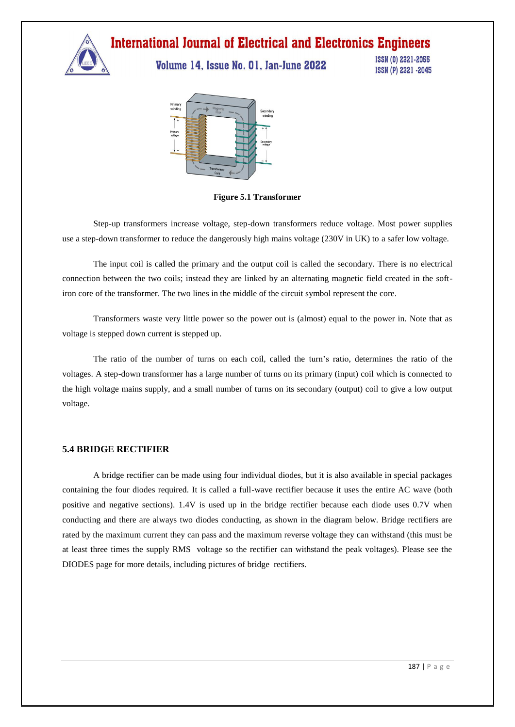

Volume 14, Issue No. 01, Jan-June 2022

**ISSN (0) 2321-2055** ISSN (P) 2321 -2045



**Figure 5.1 Transformer**

Step-up transformers increase voltage, step-down transformers reduce voltage. Most power supplies use a step-down transformer to reduce the dangerously high mains voltage (230V in UK) to a safer low voltage.

The input coil is called the primary and the output coil is called the secondary. There is no electrical connection between the two coils; instead they are linked by an alternating magnetic field created in the softiron core of the transformer. The two lines in the middle of the circuit symbol represent the core.

Transformers waste very little power so the power out is (almost) equal to the power in. Note that as voltage is stepped down current is stepped up.

The ratio of the number of turns on each coil, called the turn's ratio, determines the ratio of the voltages. A step-down transformer has a large number of turns on its primary (input) coil which is connected to the high voltage mains supply, and a small number of turns on its secondary (output) coil to give a low output voltage.

#### **5.4 BRIDGE RECTIFIER**

A bridge rectifier can be made using four individual diodes, but it is also available in special packages containing the four diodes required. It is called a full-wave rectifier because it uses the entire AC wave (both positive and negative sections). 1.4V is used up in the bridge rectifier because each diode uses 0.7V when conducting and there are always two diodes conducting, as shown in the diagram below. Bridge rectifiers are rated by the maximum current they can pass and the maximum reverse voltage they can withstand (this must be at least three times the supply RMS voltage so the rectifier can withstand the peak voltages). Please see the DIODES page for more details, including pictures of bridge rectifiers.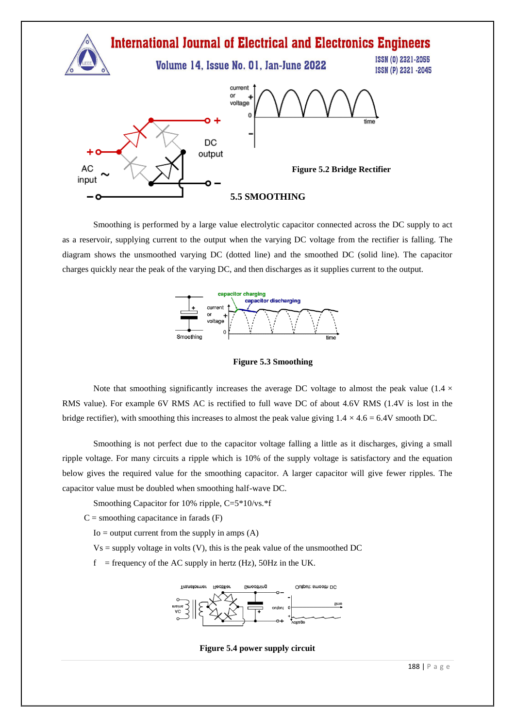

Smoothing is performed by a large value electrolytic capacitor connected across the DC supply to act as a reservoir, supplying current to the output when the varying DC voltage from the rectifier is falling. The diagram shows the unsmoothed varying DC (dotted line) and the smoothed DC (solid line). The capacitor charges quickly near the peak of the varying DC, and then discharges as it supplies current to the output.



**Figure 5.3 Smoothing**

Note that smoothing significantly increases the average DC voltage to almost the peak value ( $1.4 \times$ [RMS](http://www.kpsec.freeuk.com/acdc.htm#rms) value). For example 6V RMS AC is rectified to full wave DC of about 4.6V RMS (1.4V is lost in the bridge rectifier), with smoothing this increases to almost the peak value giving  $1.4 \times 4.6 = 6.4$ V smooth DC.

Smoothing is not perfect due to the capacitor voltage falling a little as it discharges, giving a small ripple voltage. For many circuits a ripple which is 10% of the supply voltage is satisfactory and the equation below gives the required value for the smoothing capacitor. A larger capacitor will give fewer ripples. The capacitor value must be doubled when smoothing half-wave DC.

Smoothing Capacitor for 10% ripple, C=5\*10/vs.\*f

 $C =$  smoothing capacitance in farads  $(F)$ 

 $Io =$  output current from the supply in amps  $(A)$ 

 $Vs =$  supply voltage in volts (V), this is the peak value of the unsmoothed DC

 $f$  = frequency of the AC supply in hertz (Hz), 50Hz in the UK.



**Figure 5.4 power supply circuit**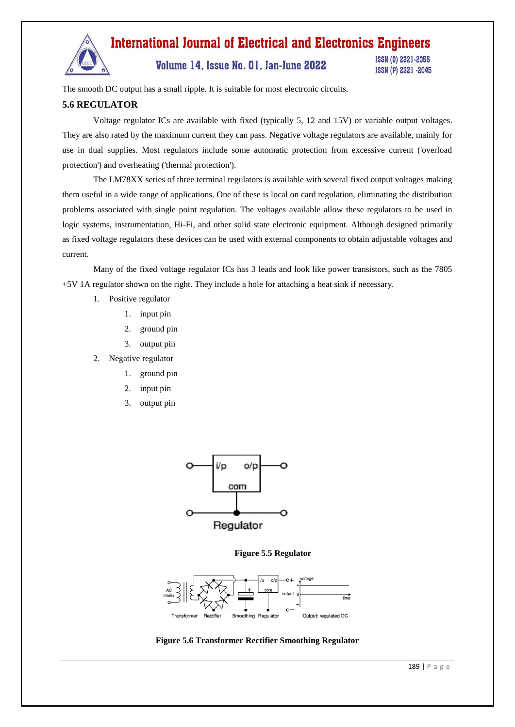

Volume 14, Issue No. 01, Jan-June 2022

ISSN (0) 2321-2055 ISSN (P) 2321 -2045

The smooth DC output has a small ripple. It is suitable for most electronic circuits.

#### **5.6 REGULATOR**

Voltage regulator ICs are available with fixed (typically 5, 12 and 15V) or variable output voltages. They are also rated by the maximum current they can pass. Negative voltage regulators are available, mainly for use in dual supplies. Most regulators include some automatic protection from excessive current ('overload protection') and overheating ('thermal protection').

The LM78XX series of three terminal regulators is available with several fixed output voltages making them useful in a wide range of applications. One of these is local on card regulation, eliminating the distribution problems associated with single point regulation. The voltages available allow these regulators to be used in logic systems, instrumentation, Hi-Fi, and other solid state electronic equipment. Although designed primarily as fixed voltage regulators these devices can be used with external components to obtain adjustable voltages and current.

Many of the fixed voltage regulator ICs has 3 leads and look like power transistors, such as the 7805 +5V 1A regulator shown on the right. They include a hole for attaching a [heat sink](http://www.kpsec.freeuk.com/components/heatsink.htm) if necessary.

- 1. Positive regulator
	- 1. input pin
	- 2. ground pin
	- 3. output pin
- 2. Negative regulator
	- 1. ground pin
	- 2. input pin
	- 3. output pin



#### **Figure 5.5 Regulator**



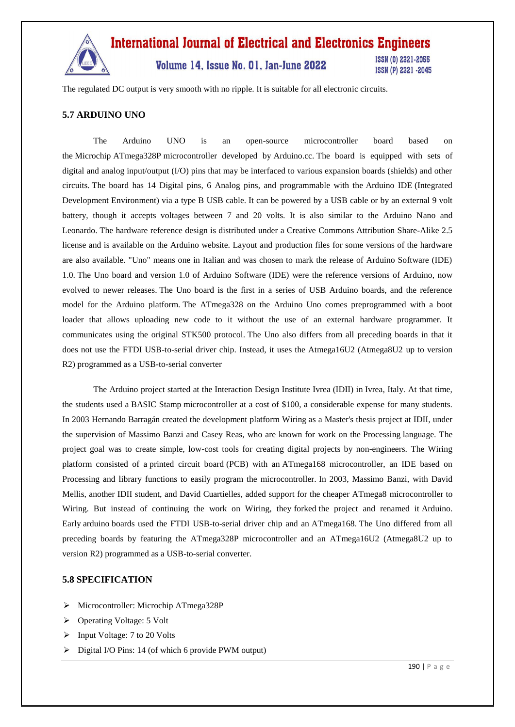

Volume 14, Issue No. 01, Jan-June 2022

**ISSN (0) 2321-2055** ISSN (P) 2321 -2045

The regulated DC output is very smooth with no ripple. It is suitable for all electronic circuits.

#### **5.7 ARDUINO UNO**

The Arduino UNO is an open-source microcontroller board based on the [Microchip](https://en.wikipedia.org/wiki/Microchip_Technology) [ATmega328P](https://en.wikipedia.org/wiki/ATmega328P) microcontroller developed by [Arduino.cc.](https://en.wikipedia.org/wiki/Arduino) The board is equipped with sets of digital and analog input/output (I/O) pins that may be interfaced to various expansion boards (shields) and other circuits. The board has 14 Digital pins, 6 Analog pins, and programmable with the [Arduino IDE](https://en.wikipedia.org/wiki/Arduino#Software) (Integrated Development Environment) via a type B USB cable. It can be powered by a USB cable or by an external 9 volt battery, though it accepts voltages between 7 and 20 volts. It is also similar to the Arduino Nano and Leonardo. The hardware reference design is distributed under a [Creative Commons](https://en.wikipedia.org/wiki/Creative_Commons) Attribution Share-Alike 2.5 license and is available on the Arduino website. Layout and production files for some versions of the hardware are also available. "Uno" means one in Italian and was chosen to mark the release of Arduino Software (IDE) 1.0. The Uno board and version 1.0 of Arduino Software (IDE) were the reference versions of Arduino, now evolved to newer releases. The Uno board is the first in a series of USB Arduino boards, and the reference model for the Arduino platform. The ATmega328 on the Arduino Uno comes preprogrammed with a boot loader that allows uploading new code to it without the use of an external hardware programmer. It communicates using the original STK500 protocol. The Uno also differs from all preceding boards in that it does not use the FTDI USB-to-serial driver chip. Instead, it uses the Atmega16U2 (Atmega8U2 up to version R2) programmed as a USB-to-serial converter

The Arduino project started at the [Interaction Design Institute Ivrea](https://en.wikipedia.org/wiki/Interaction_Design_Institute_Ivrea) (IDII) in [Ivrea,](https://en.wikipedia.org/wiki/Ivrea) Italy. At that time, the students used a [BASIC Stamp](https://en.wikipedia.org/wiki/BASIC_Stamp) microcontroller at a cost of \$100, a considerable expense for many students. In 2003 Hernando Barragán created the development platform [Wiring](https://en.wikipedia.org/wiki/Wiring_(development_platform)) as a Master's thesis project at IDII, under the supervision of Massimo Banzi and Casey Reas, who are known for work on the [Processing](https://en.wikipedia.org/wiki/Processing_(programming_language)) language. The project goal was to create simple, low-cost tools for creating digital projects by non-engineers. The Wiring platform consisted of a [printed circuit board](https://en.wikipedia.org/wiki/Printed_circuit_board) (PCB) with an [ATmega1](https://en.wikipedia.org/wiki/ATmega)68 microcontroller, an IDE based on Processing and library functions to easily program the microcontroller. In 2003, Massimo Banzi, with David Mellis, another IDII student, and David Cuartielles, added support for the cheaper ATmega8 microcontroller to Wiring. But instead of continuing the work on Wiring, they [forked](https://en.wikipedia.org/wiki/Fork_(software_development)) the project and renamed it Arduino. Early [arduino](https://en.wikipedia.org/wiki/Arduino) boards used the FTDI USB-to-serial driver chip and an [ATmega1](https://en.wikipedia.org/wiki/ATmega)68. The Uno differed from all preceding boards by featuring the ATmega328P microcontroller and an ATmega16U2 (Atmega8U2 up to version R2) programmed as a USB-to-serial converter.

#### **5.8 SPECIFICATION**

- [Microcontroller:](https://en.wikipedia.org/wiki/Microcontroller) [Microchip](https://en.wikipedia.org/wiki/Microchip_Technology) [ATmega328P](https://en.wikipedia.org/wiki/ATmega328P)
- Operating Voltage: 5 Volt
- $\triangleright$  Input Voltage: 7 to 20 Volts
- $\triangleright$  Digital I/O Pins: 14 (of which 6 provide PWM output)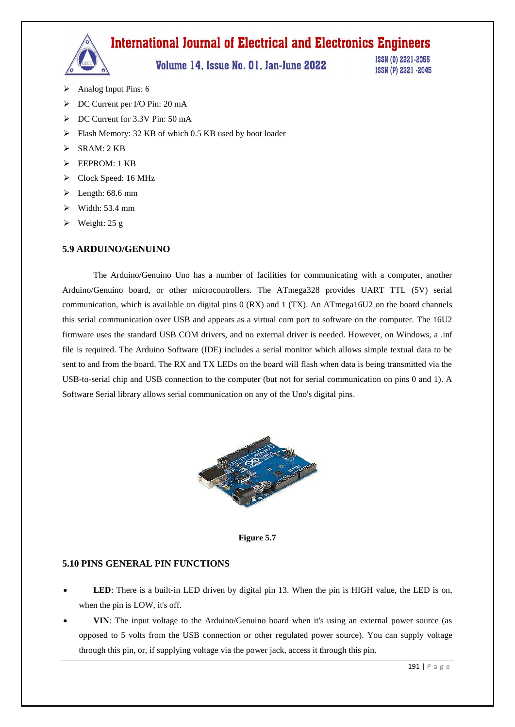

Volume 14, Issue No. 01, Jan-June 2022

**ISSN (0) 2321-2055** ISSN (P) 2321 -2045

- Analog Input Pins: 6
- DC Current per I/O Pin: 20 mA
- DC Current for 3.3V Pin: 50 mA
- [Flash Memory:](https://en.wikipedia.org/wiki/Flash_Memory) 32 KB of which 0.5 KB used by [boot loader](https://en.wikipedia.org/wiki/Booting#BOOT-LOADER)
- $\triangleright$  [SRAM:](https://en.wikipedia.org/wiki/Static_random-access_memory) 2 KB
- [EEPROM:](https://en.wikipedia.org/wiki/EEPROM) 1 KB
- Clock Speed: 16 MHz
- Length: 68.6 mm
- Width: 53.4 mm
- Weight: 25 g

#### **5.9 ARDUINO/GENUINO**

The Arduino/Genuino Uno has a number of facilities for communicating with a computer, another Arduino/Genuino board, or other microcontrollers. The ATmega328 provides UART TTL (5V) serial communication, which is available on digital pins 0 (RX) and 1 (TX). An ATmega16U2 on the board channels this serial communication over USB and appears as a virtual com port to software on the computer. The 16U2 firmware uses the standard USB COM drivers, and no external driver is needed. However, on Windows, a .inf file is required. The Arduino Software (IDE) includes a serial monitor which allows simple textual data to be sent to and from the board. The RX and TX LEDs on the board will flash when data is being transmitted via the USB-to-serial chip and USB connection to the computer (but not for serial communication on pins 0 and 1). A Software Serial library allows serial communication on any of the Uno's digital pins.





### **5.10 PINS GENERAL PIN FUNCTIONS**

- LED: There is a built-in LED driven by digital pin 13. When the pin is HIGH value, the LED is on, when the pin is LOW, it's off.
- **VIN**: The input voltage to the Arduino/Genuino board when it's using an external power source (as opposed to 5 volts from the USB connection or other regulated power source). You can supply voltage through this pin, or, if supplying voltage via the power jack, access it through this pin.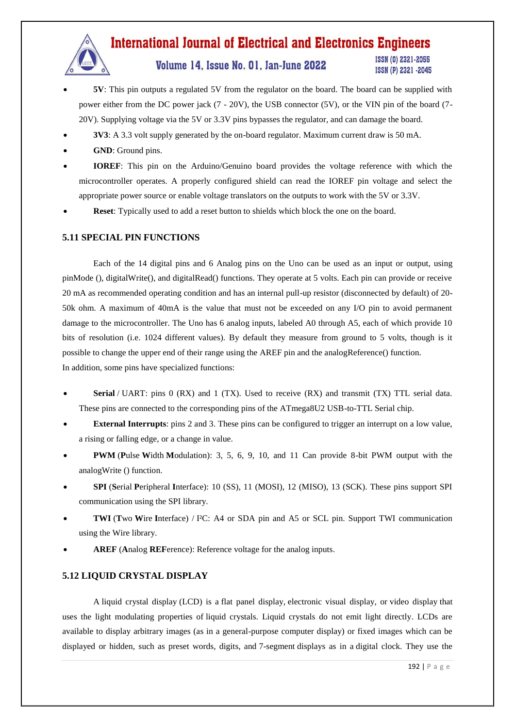

### Volume 14, Issue No. 01, Jan-June 2022

**ISSN (0) 2321-2055** ISSN (P) 2321 -2045

- **5V**: This pin outputs a regulated 5V from the regulator on the board. The board can be supplied with power either from the DC power jack (7 - 20V), the USB connector (5V), or the VIN pin of the board (7- 20V). Supplying voltage via the 5V or 3.3V pins bypasses the regulator, and can damage the board.
- **3V3**: A 3.3 volt supply generated by the on-board regulator. Maximum current draw is 50 mA.
- **GND**: Ground pins.
- **IOREF**: This pin on the Arduino/Genuino board provides the voltage reference with which the microcontroller operates. A properly configured shield can read the IOREF pin voltage and select the appropriate power source or enable voltage translators on the outputs to work with the 5V or 3.3V.
- **Reset**: Typically used to add a reset button to shields which block the one on the board.

### **5.11 SPECIAL PIN FUNCTIONS**

Each of the 14 digital pins and 6 Analog pins on the Uno can be used as an input or output, using pinMode (), digitalWrite(), and digitalRead() functions. They operate at 5 volts. Each pin can provide or receive 20 mA as recommended operating condition and has an internal pull-up resistor (disconnected by default) of 20- 50k ohm. A maximum of 40mA is the value that must not be exceeded on any I/O pin to avoid permanent damage to the microcontroller. The Uno has 6 analog inputs, labeled A0 through A5, each of which provide 10 bits of resolution (i.e. 1024 different values). By default they measure from ground to 5 volts, though is it possible to change the upper end of their range using the AREF pin and the analogReference() function. In addition, some pins have specialized functions:

- **Serial** / [UART:](https://en.wikipedia.org/wiki/UART) pins 0 (RX) and 1 (TX). Used to receive (RX) and transmit (TX) TTL serial data. These pins are connected to the corresponding pins of the ATmega8U2 USB-to-TTL Serial chip.
- **External Interrupts**: pins 2 and 3. These pins can be configured to trigger an interrupt on a low value, a rising or falling edge, or a change in value.
- **PWM** (**P**ulse **W**idth **M**odulation): 3, 5, 6, 9, 10, and 11 Can provide 8-bit PWM output with the analogWrite () function.
- **SPI** (**S**erial **P**eripheral **I**nterface): 10 (SS), 11 (MOSI), 12 (MISO), 13 (SCK). These pins support SPI communication using the SPI library.
- **TWI** (**T**wo **W**ire **I**nterface) / [I²C:](https://en.wikipedia.org/wiki/I%C2%B2C) A4 or SDA pin and A5 or SCL pin. Support TWI communication using the Wire library.
- **AREF** (**A**nalog **REF**erence): Reference voltage for the analog inputs.

### **5.12 LIQUID CRYSTAL DISPLAY**

A liquid crystal display (LCD) is a flat panel display, electronic visual display, or video display that uses the light modulating properties of liquid crystals. Liquid crystals do not emit light directly. LCDs are available to display arbitrary images (as in a general-purpose computer display) or fixed images which can be displayed or hidden, such as preset words, digits, and 7-segment displays as in a digital clock. They use the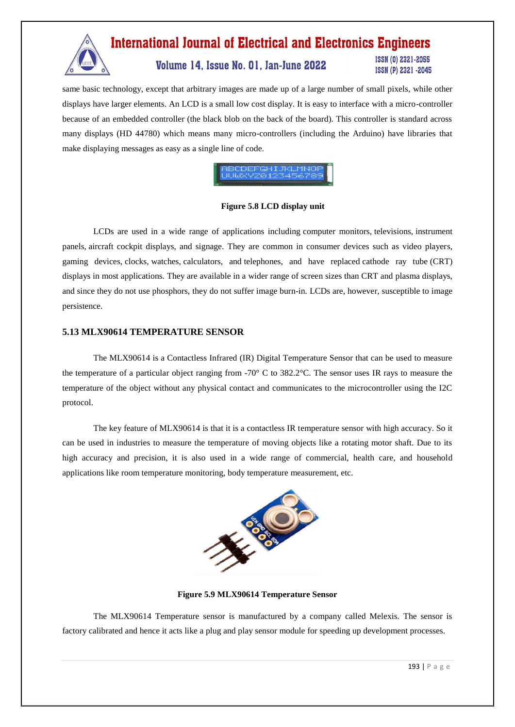

### Volume 14, Issue No. 01, Jan-June 2022

**ISSN (0) 2321-2055** ISSN (P) 2321 -2045

same basic technology, except that arbitrary images are made up of a large number of small pixels, while other displays have larger elements. An LCD is a small low cost display. It is easy to interface with a micro-controller because of an embedded controller (the black blob on the back of the board). This controller is standard across many displays (HD 44780) which means many micro-controllers (including the Arduino) have libraries that make displaying messages as easy as a single line of code.



#### **Figure 5.8 LCD display unit**

LCDs are used in a wide range of applications including computer monitors, televisions, instrument panels, aircraft cockpit displays, and signage. They are common in consumer devices such as video players, gaming devices, clocks, watches, calculators, and telephones, and have replaced cathode ray tube (CRT) displays in most applications. They are available in a wider range of screen sizes than CRT and plasma displays, and since they do not use phosphors, they do not suffer image burn-in. LCDs are, however, susceptible to image persistence.

#### **5.13 MLX90614 TEMPERATURE SENSOR**

The MLX90614 is a Contactless Infrared (IR) Digital Temperature Sensor that can be used to measure the temperature of a particular object ranging from -70° C to 382.2°C. The sensor uses IR rays to measure the temperature of the object without any physical contact and communicates to the microcontroller using the I2C protocol.

The key feature of MLX90614 is that it is a contactless IR temperature sensor with high accuracy. So it can be used in industries to measure the temperature of moving objects like a rotating motor shaft. Due to its high accuracy and precision, it is also used in a wide range of commercial, health care, and household applications like room temperature monitoring, body temperature measurement, etc.



**Figure 5.9 MLX90614 Temperature Sensor**

The MLX90614 Temperature sensor is manufactured by a company called Melexis. The sensor is factory calibrated and hence it acts like a plug and play sensor module for speeding up development processes.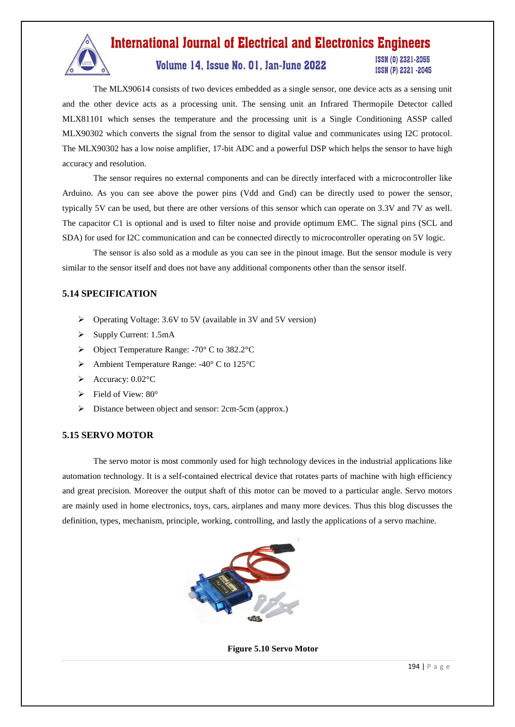

### Volume 14, Issue No. 01, Jan-June 2022

**ISSN (0) 2321-2055** ISSN (P) 2321 -2045

The MLX90614 consists of two devices embedded as a single sensor, one device acts as a sensing unit and the other device acts as a processing unit. The sensing unit an Infrared Thermopile Detector called MLX81101 which senses the temperature and the processing unit is a Single Conditioning ASSP called MLX90302 which converts the signal from the sensor to digital value and communicates using I2C protocol. The MLX90302 has a low noise amplifier, 17-bit ADC and a powerful DSP which helps the sensor to have high accuracy and resolution.

The sensor requires no external components and can be directly interfaced with a microcontroller like Arduino. As you can see above the power pins (Vdd and Gnd) can be directly used to power the sensor, typically 5V can be used, but there are other versions of this sensor which can operate on 3.3V and 7V as well. The capacitor C1 is optional and is used to filter noise and provide optimum EMC. The signal pins (SCL and SDA) for used for I2C communication and can be connected directly to microcontroller operating on 5V logic.

The sensor is also sold as a module as you can see in the pinout image. But the sensor module is very similar to the sensor itself and does not have any additional components other than the sensor itself.

#### **5.14 SPECIFICATION**

- Operating Voltage: 3.6V to 5V (available in 3V and 5V version)
- $\triangleright$  Supply Current: 1.5mA
- $\triangleright$  Object Temperature Range: -70 $\degree$  C to 382.2 $\degree$ C
- Ambient Temperature Range: -40 $\degree$  C to 125 $\degree$ C
- $\blacktriangleright$  Accuracy: 0.02 °C
- $\triangleright$  Field of View: 80 $^{\circ}$
- Distance between object and sensor: 2cm-5cm (approx.)

#### **5.15 SERVO MOTOR**

The servo motor is most commonly used for high technology devices in the industrial applications like automation technology. It is a self-contained electrical device that rotates parts of machine with high efficiency and great precision. Moreover the output shaft of this motor can be moved to a particular angle. Servo motors are mainly used in home electronics, toys, cars, airplanes and many more devices. Thus this blog discusses the definition, types, mechanism, principle, working, controlling, and lastly the applications of a servo machine.



**Figure 5.10 Servo Motor**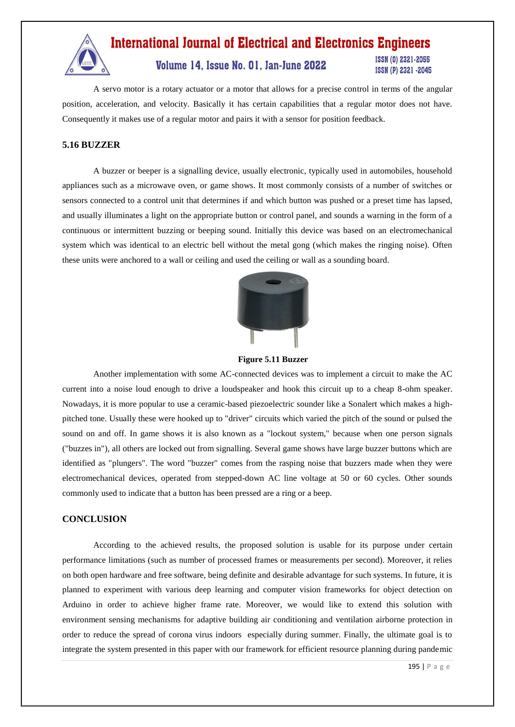

### Volume 14, Issue No. 01, Jan-June 2022

**ISSN (0) 2321-2055** ISSN (P) 2321 -2045

A servo motor is a rotary actuator or a motor that allows for a precise control in terms of the angular position, acceleration, and velocity. Basically it has certain capabilities that a regular motor does not have. Consequently it makes use of a regular motor and pairs it with a sensor for position feedback.

#### **5.16 BUZZER**

A buzzer or beeper is a signalling device, usually electronic, typically used in automobiles, household appliances such as a microwave oven, or game shows. It most commonly consists of a number of switches or sensors connected to a control unit that determines if and which button was pushed or a preset time has lapsed, and usually illuminates a light on the appropriate button or control panel, and sounds a warning in the form of a continuous or intermittent buzzing or beeping sound. Initially this device was based on an electromechanical system which was identical to an electric bell without the metal gong (which makes the ringing noise). Often these units were anchored to a wall or ceiling and used the ceiling or wall as a sounding board.



**Figure 5.11 Buzzer**

Another implementation with some AC-connected devices was to implement a circuit to make the AC current into a noise loud enough to drive a loudspeaker and hook this circuit up to a cheap 8-ohm speaker. Nowadays, it is more popular to use a ceramic-based piezoelectric sounder like a Sonalert which makes a highpitched tone. Usually these were hooked up to "driver" circuits which varied the pitch of the sound or pulsed the sound on and off. In game shows it is also known as a "lockout system," because when one person signals ("buzzes in"), all others are locked out from signalling. Several game shows have large buzzer buttons which are identified as "plungers". The word "buzzer" comes from the rasping noise that buzzers made when they were electromechanical devices, operated from stepped-down AC line voltage at 50 or 60 cycles. Other sounds commonly used to indicate that a button has been pressed are a ring or a beep.

#### **CONCLUSION**

According to the achieved results, the proposed solution is usable for its purpose under certain performance limitations (such as number of processed frames or measurements per second). Moreover, it relies on both open hardware and free software, being definite and desirable advantage for such systems. In future, it is planned to experiment with various deep learning and computer vision frameworks for object detection on Arduino in order to achieve higher frame rate. Moreover, we would like to extend this solution with environment sensing mechanisms for adaptive building air conditioning and ventilation airborne protection in order to reduce the spread of corona virus indoors especially during summer. Finally, the ultimate goal is to integrate the system presented in this paper with our framework for efficient resource planning during pandemic